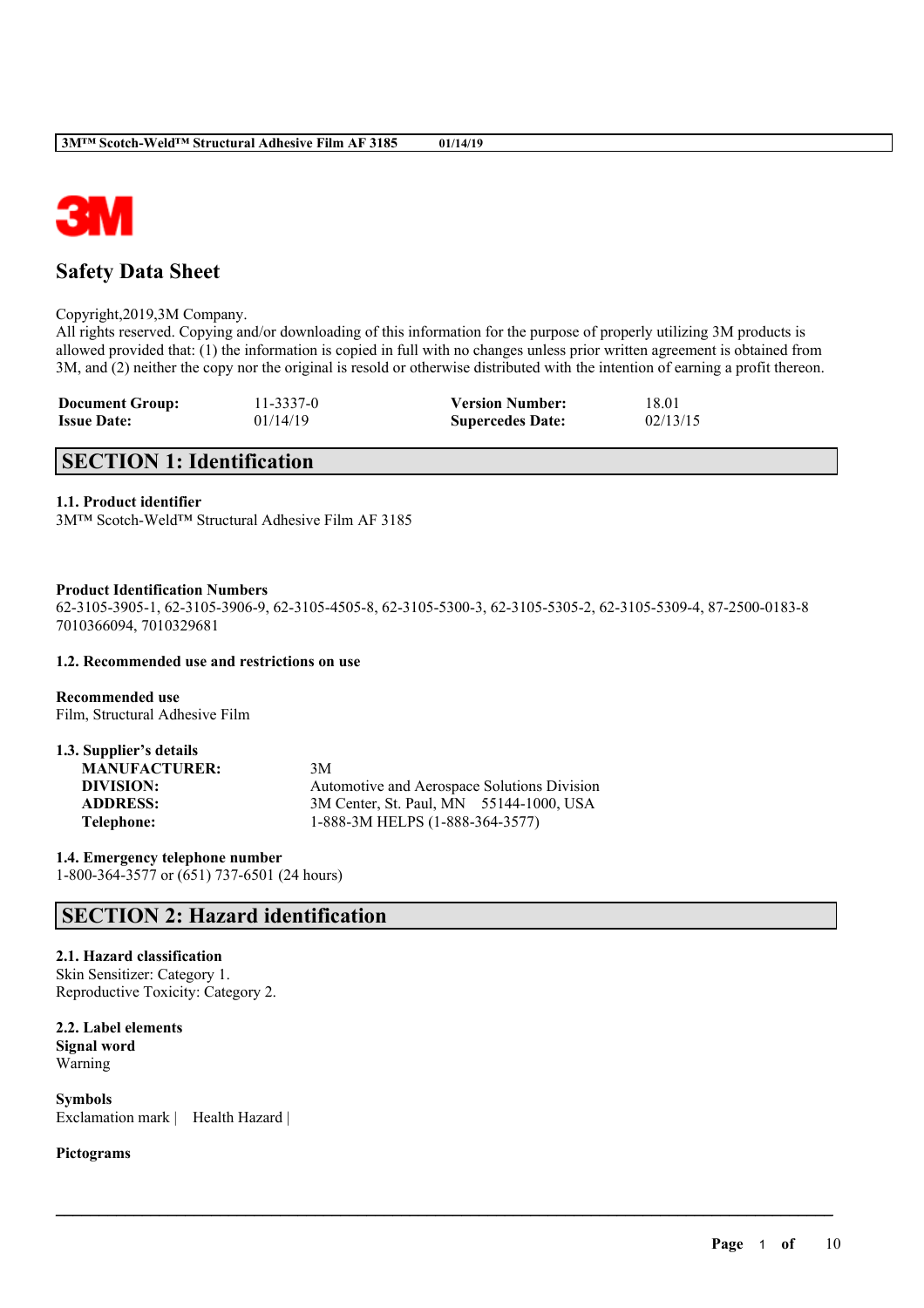

# **Safety Data Sheet**

### Copyright,2019,3M Company.

All rights reserved. Copying and/or downloading of this information for the purpose of properly utilizing 3M products is allowed provided that: (1) the information is copied in full with no changes unless prior written agreement is obtained from 3M, and (2) neither the copy nor the original is resold or otherwise distributed with the intention of earning a profit thereon.

| <b>Document Group:</b> | 11-3337-0 | <b>Version Number:</b>  | 18.01    |
|------------------------|-----------|-------------------------|----------|
| <b>Issue Date:</b>     | 01/14/19  | <b>Supercedes Date:</b> | 02/13/15 |

# **SECTION 1: Identification**

### **1.1. Product identifier**

3M™ Scotch-Weld™ Structural Adhesive Film AF 3185

### **Product Identification Numbers**

62-3105-3905-1, 62-3105-3906-9, 62-3105-4505-8, 62-3105-5300-3, 62-3105-5305-2, 62-3105-5309-4, 87-2500-0183-8 7010366094, 7010329681

 $\mathcal{L}_\mathcal{L} = \mathcal{L}_\mathcal{L} = \mathcal{L}_\mathcal{L} = \mathcal{L}_\mathcal{L} = \mathcal{L}_\mathcal{L} = \mathcal{L}_\mathcal{L} = \mathcal{L}_\mathcal{L} = \mathcal{L}_\mathcal{L} = \mathcal{L}_\mathcal{L} = \mathcal{L}_\mathcal{L} = \mathcal{L}_\mathcal{L} = \mathcal{L}_\mathcal{L} = \mathcal{L}_\mathcal{L} = \mathcal{L}_\mathcal{L} = \mathcal{L}_\mathcal{L} = \mathcal{L}_\mathcal{L} = \mathcal{L}_\mathcal{L}$ 

#### **1.2. Recommended use and restrictions on use**

**Recommended use** Film, Structural Adhesive Film

| 1.3. Supplier's details |                                             |
|-------------------------|---------------------------------------------|
| <b>MANUFACTURER:</b>    | 3M                                          |
| DIVISION:               | Automotive and Aerospace Solutions Division |
| <b>ADDRESS:</b>         | 3M Center, St. Paul, MN 55144-1000, USA     |
| Telephone:              | 1-888-3M HELPS (1-888-364-3577)             |

**1.4. Emergency telephone number** 1-800-364-3577 or (651) 737-6501 (24 hours)

## **SECTION 2: Hazard identification**

### **2.1. Hazard classification**

Skin Sensitizer: Category 1. Reproductive Toxicity: Category 2.

**2.2. Label elements Signal word** Warning

**Symbols** Exclamation mark | Health Hazard |

### **Pictograms**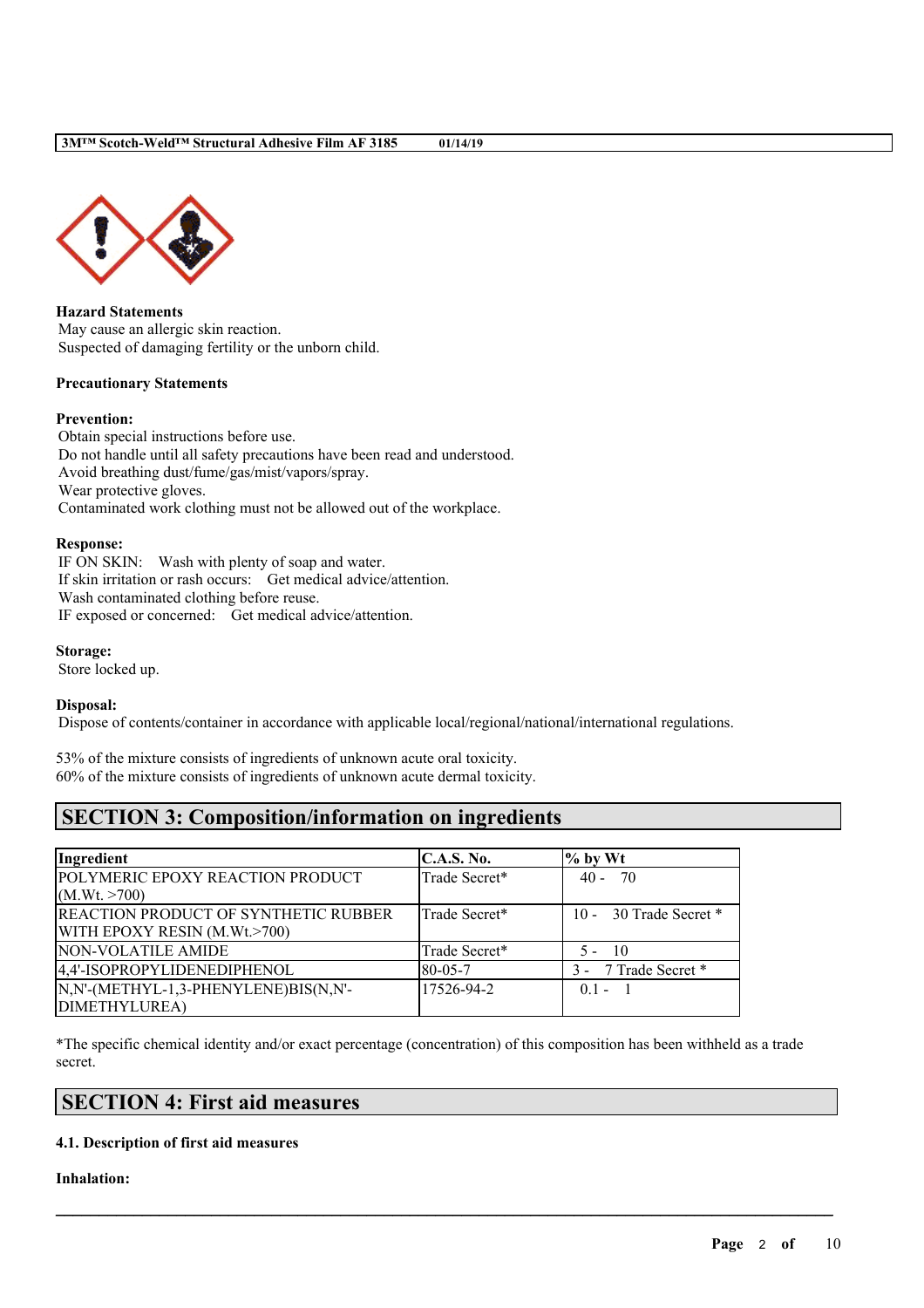

**Hazard Statements** May cause an allergic skin reaction. Suspected of damaging fertility or the unborn child.

### **Precautionary Statements**

### **Prevention:**

Obtain special instructions before use. Do not handle until all safety precautions have been read and understood. Avoid breathing dust/fume/gas/mist/vapors/spray. Wear protective gloves. Contaminated work clothing must not be allowed out of the workplace.

### **Response:**

IF ON SKIN: Wash with plenty of soap and water. If skin irritation or rash occurs: Get medical advice/attention. Wash contaminated clothing before reuse. IF exposed or concerned: Get medical advice/attention.

### **Storage:**

Store locked up.

### **Disposal:**

Dispose of contents/container in accordance with applicable local/regional/national/international regulations.

53% of the mixture consists of ingredients of unknown acute oral toxicity. 60% of the mixture consists of ingredients of unknown acute dermal toxicity.

# **SECTION 3: Composition/information on ingredients**

| Ingredient                                  | <b>C.A.S. No.</b> | $%$ by Wt              |
|---------------------------------------------|-------------------|------------------------|
| POLYMERIC EPOXY REACTION PRODUCT            | Trade Secret*     | $40 - 70$              |
| (M.Wt. > 700)                               |                   |                        |
| <b>REACTION PRODUCT OF SYNTHETIC RUBBER</b> | Trade Secret*     | 10 - 30 Trade Secret * |
| WITH EPOXY RESIN (M.Wt.>700)                |                   |                        |
| NON-VOLATILE AMIDE                          | Trade Secret*     | $5 - 10$               |
| 4,4'-ISOPROPYLIDENEDIPHENOL                 | $80 - 05 - 7$     | 3 - 7 Trade Secret *   |
| N,N'-(METHYL-1,3-PHENYLENE)BIS(N,N'-        | 17526-94-2        | $0.1 - 1$              |
| DIMETHYLUREA)                               |                   |                        |

\*The specific chemical identity and/or exact percentage (concentration) of this composition has been withheld as a trade secret.

 $\mathcal{L}_\mathcal{L} = \mathcal{L}_\mathcal{L} = \mathcal{L}_\mathcal{L} = \mathcal{L}_\mathcal{L} = \mathcal{L}_\mathcal{L} = \mathcal{L}_\mathcal{L} = \mathcal{L}_\mathcal{L} = \mathcal{L}_\mathcal{L} = \mathcal{L}_\mathcal{L} = \mathcal{L}_\mathcal{L} = \mathcal{L}_\mathcal{L} = \mathcal{L}_\mathcal{L} = \mathcal{L}_\mathcal{L} = \mathcal{L}_\mathcal{L} = \mathcal{L}_\mathcal{L} = \mathcal{L}_\mathcal{L} = \mathcal{L}_\mathcal{L}$ 

# **SECTION 4: First aid measures**

### **4.1. Description of first aid measures**

### **Inhalation:**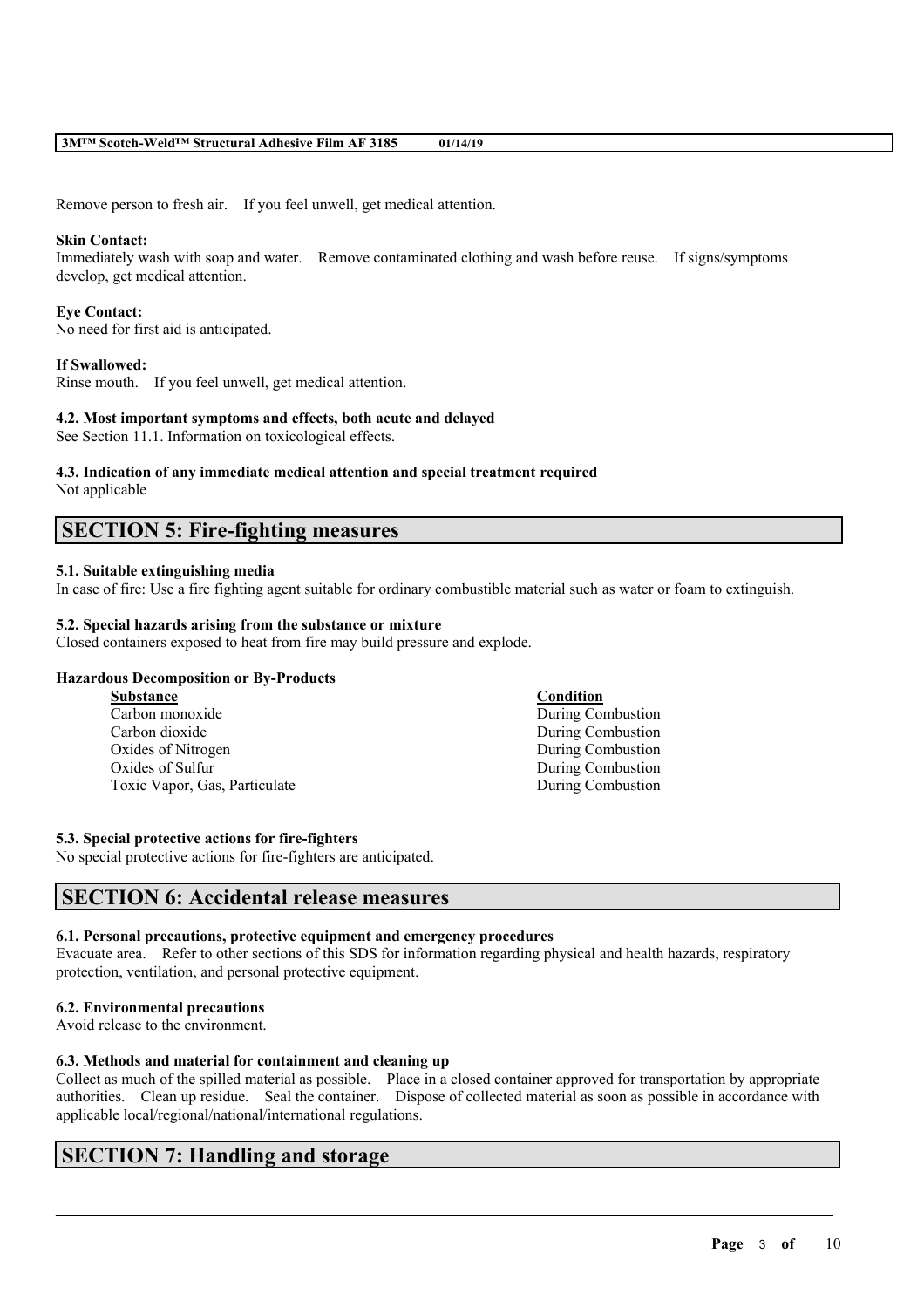Remove person to fresh air. If you feel unwell, get medical attention.

### **Skin Contact:**

Immediately wash with soap and water. Remove contaminated clothing and wash before reuse. If signs/symptoms develop, get medical attention.

### **Eye Contact:**

No need for first aid is anticipated.

### **If Swallowed:**

Rinse mouth. If you feel unwell, get medical attention.

### **4.2. Most important symptoms and effects, both acute and delayed**

See Section 11.1. Information on toxicological effects.

# **4.3. Indication of any immediate medical attention and special treatment required**

Not applicable

## **SECTION 5: Fire-fighting measures**

### **5.1. Suitable extinguishing media**

In case of fire: Use a fire fighting agent suitable for ordinary combustible material such as water or foam to extinguish.

### **5.2. Special hazards arising from the substance or mixture**

Closed containers exposed to heat from fire may build pressure and explode.

### **Hazardous Decomposition or By-Products**

| Substance                     | Condition         |
|-------------------------------|-------------------|
| Carbon monoxide               | During Combustion |
| Carbon dioxide                | During Combustion |
| Oxides of Nitrogen            | During Combustion |
| Oxides of Sulfur              | During Combustion |
| Toxic Vapor, Gas, Particulate | During Combustion |

### **5.3. Special protective actions for fire-fighters**

No special protective actions for fire-fighters are anticipated.

## **SECTION 6: Accidental release measures**

### **6.1. Personal precautions, protective equipment and emergency procedures**

Evacuate area. Refer to other sections of this SDS for information regarding physical and health hazards, respiratory protection, ventilation, and personal protective equipment.

#### **6.2. Environmental precautions**

Avoid release to the environment.

### **6.3. Methods and material for containment and cleaning up**

Collect as much of the spilled material as possible. Place in a closed container approved for transportation by appropriate authorities. Clean up residue. Seal the container. Dispose of collected material as soon as possible in accordance with applicable local/regional/national/international regulations.

 $\mathcal{L}_\mathcal{L} = \mathcal{L}_\mathcal{L} = \mathcal{L}_\mathcal{L} = \mathcal{L}_\mathcal{L} = \mathcal{L}_\mathcal{L} = \mathcal{L}_\mathcal{L} = \mathcal{L}_\mathcal{L} = \mathcal{L}_\mathcal{L} = \mathcal{L}_\mathcal{L} = \mathcal{L}_\mathcal{L} = \mathcal{L}_\mathcal{L} = \mathcal{L}_\mathcal{L} = \mathcal{L}_\mathcal{L} = \mathcal{L}_\mathcal{L} = \mathcal{L}_\mathcal{L} = \mathcal{L}_\mathcal{L} = \mathcal{L}_\mathcal{L}$ 

# **SECTION 7: Handling and storage**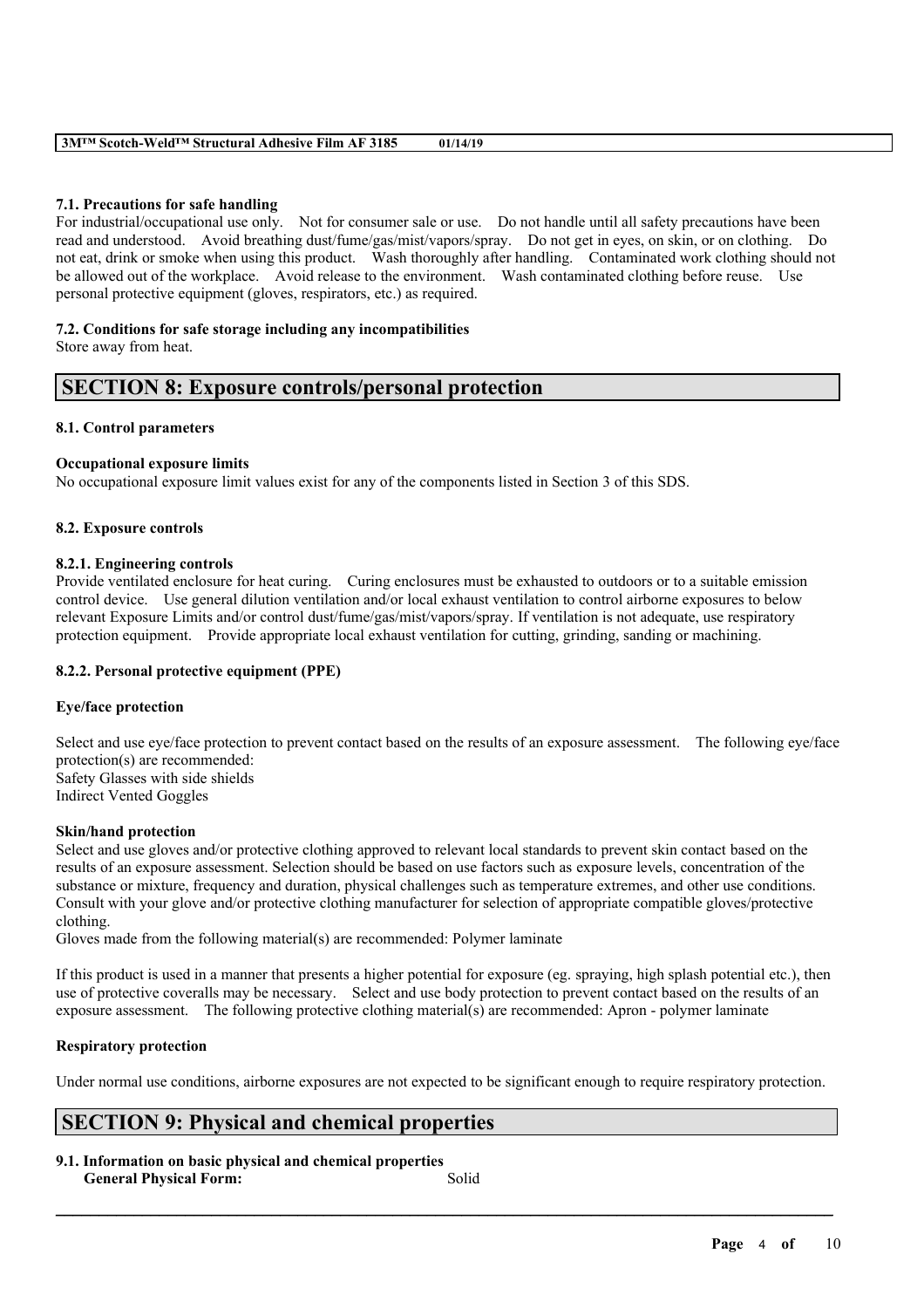### **7.1. Precautions for safe handling**

For industrial/occupational use only. Not for consumer sale or use. Do not handle until all safety precautions have been read and understood. Avoid breathing dust/fume/gas/mist/vapors/spray. Do not get in eyes, on skin, or on clothing. Do not eat, drink or smoke when using this product. Wash thoroughly after handling. Contaminated work clothing should not be allowed out of the workplace. Avoid release to the environment. Wash contaminated clothing before reuse. Use personal protective equipment (gloves, respirators, etc.) as required.

### **7.2. Conditions for safe storage including any incompatibilities**

Store away from heat.

### **SECTION 8: Exposure controls/personal protection**

### **8.1. Control parameters**

### **Occupational exposure limits**

No occupational exposure limit values exist for any of the components listed in Section 3 of this SDS.

### **8.2. Exposure controls**

### **8.2.1. Engineering controls**

Provide ventilated enclosure for heat curing. Curing enclosures must be exhausted to outdoors or to a suitable emission control device. Use general dilution ventilation and/or local exhaust ventilation to control airborne exposures to below relevant Exposure Limits and/or control dust/fume/gas/mist/vapors/spray. If ventilation is not adequate, use respiratory protection equipment. Provide appropriate local exhaust ventilation for cutting, grinding, sanding or machining.

### **8.2.2. Personal protective equipment (PPE)**

### **Eye/face protection**

Select and use eye/face protection to prevent contact based on the results of an exposure assessment. The following eye/face protection(s) are recommended: Safety Glasses with side shields Indirect Vented Goggles

#### **Skin/hand protection**

Select and use gloves and/or protective clothing approved to relevant local standards to prevent skin contact based on the results of an exposure assessment. Selection should be based on use factors such as exposure levels, concentration of the substance or mixture, frequency and duration, physical challenges such as temperature extremes, and other use conditions. Consult with your glove and/or protective clothing manufacturer for selection of appropriate compatible gloves/protective clothing.

Gloves made from the following material(s) are recommended: Polymer laminate

If this product is used in a manner that presents a higher potential for exposure (eg. spraying, high splash potential etc.), then use of protective coveralls may be necessary. Select and use body protection to prevent contact based on the results of an exposure assessment. The following protective clothing material(s) are recommended: Apron - polymer laminate

### **Respiratory protection**

Under normal use conditions, airborne exposures are not expected to be significant enough to require respiratory protection.

# **SECTION 9: Physical and chemical properties**

**9.1. Information on basic physical and chemical properties**

**General Physical Form:** Solid

 $\mathcal{L}_\mathcal{L} = \mathcal{L}_\mathcal{L} = \mathcal{L}_\mathcal{L} = \mathcal{L}_\mathcal{L} = \mathcal{L}_\mathcal{L} = \mathcal{L}_\mathcal{L} = \mathcal{L}_\mathcal{L} = \mathcal{L}_\mathcal{L} = \mathcal{L}_\mathcal{L} = \mathcal{L}_\mathcal{L} = \mathcal{L}_\mathcal{L} = \mathcal{L}_\mathcal{L} = \mathcal{L}_\mathcal{L} = \mathcal{L}_\mathcal{L} = \mathcal{L}_\mathcal{L} = \mathcal{L}_\mathcal{L} = \mathcal{L}_\mathcal{L}$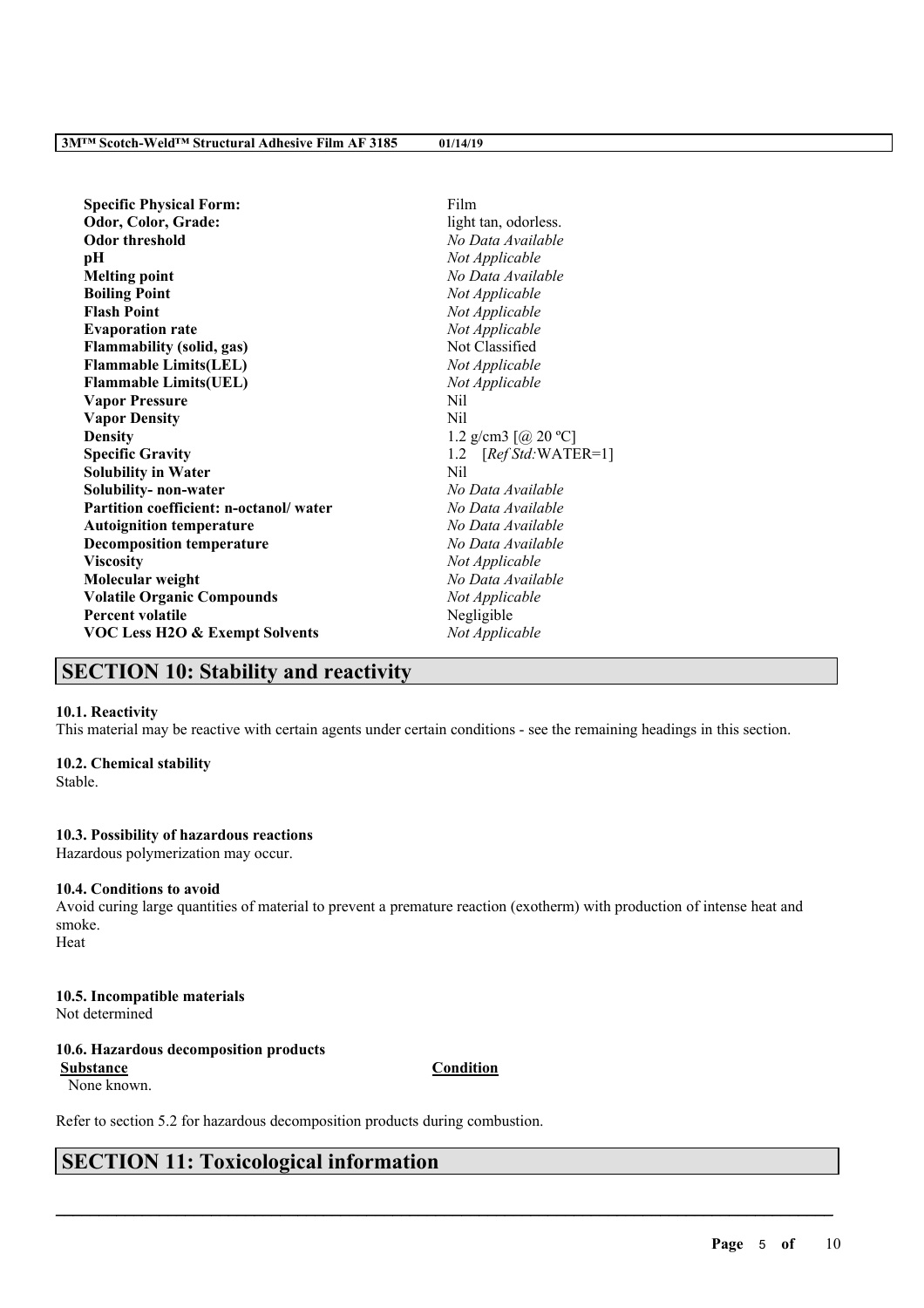| <b>Specific Physical Form:</b>            | Film                   |
|-------------------------------------------|------------------------|
| Odor, Color, Grade:                       | light tan, odorless.   |
| <b>Odor threshold</b>                     | No Data Available      |
| pН                                        | Not Applicable         |
| <b>Melting point</b>                      | No Data Available      |
| <b>Boiling Point</b>                      | Not Applicable         |
| <b>Flash Point</b>                        | Not Applicable         |
| <b>Evaporation rate</b>                   | Not Applicable         |
| <b>Flammability (solid, gas)</b>          | Not Classified         |
| <b>Flammable Limits(LEL)</b>              | Not Applicable         |
| <b>Flammable Limits(UEL)</b>              | Not Applicable         |
| <b>Vapor Pressure</b>                     | Nil                    |
| <b>Vapor Density</b>                      | Nil                    |
| <b>Density</b>                            | 1.2 g/cm3 $[@ 20 °C]$  |
| <b>Specific Gravity</b>                   | 1.2 $[RefStd:WATER=1]$ |
| <b>Solubility in Water</b>                | Nil                    |
| Solubility- non-water                     | No Data Available      |
| Partition coefficient: n-octanol/water    | No Data Available      |
| <b>Autoignition temperature</b>           | No Data Available      |
| <b>Decomposition temperature</b>          | No Data Available      |
| <b>Viscosity</b>                          | Not Applicable         |
| Molecular weight                          | No Data Available      |
| <b>Volatile Organic Compounds</b>         | Not Applicable         |
| <b>Percent volatile</b>                   | Negligible             |
| <b>VOC Less H2O &amp; Exempt Solvents</b> | Not Applicable         |

# **SECTION 10: Stability and reactivity**

### **10.1. Reactivity**

This material may be reactive with certain agents under certain conditions - see the remaining headings in this section.

### **10.2. Chemical stability**

Stable.

### **10.3. Possibility of hazardous reactions**

Hazardous polymerization may occur.

### **10.4. Conditions to avoid**

Avoid curing large quantities of material to prevent a premature reaction (exotherm) with production of intense heat and smoke. Heat

## **10.5. Incompatible materials**

Not determined

## **10.6. Hazardous decomposition products**

**Substance Condition** None known.

 $\mathcal{L}_\mathcal{L} = \mathcal{L}_\mathcal{L} = \mathcal{L}_\mathcal{L} = \mathcal{L}_\mathcal{L} = \mathcal{L}_\mathcal{L} = \mathcal{L}_\mathcal{L} = \mathcal{L}_\mathcal{L} = \mathcal{L}_\mathcal{L} = \mathcal{L}_\mathcal{L} = \mathcal{L}_\mathcal{L} = \mathcal{L}_\mathcal{L} = \mathcal{L}_\mathcal{L} = \mathcal{L}_\mathcal{L} = \mathcal{L}_\mathcal{L} = \mathcal{L}_\mathcal{L} = \mathcal{L}_\mathcal{L} = \mathcal{L}_\mathcal{L}$ 

Refer to section 5.2 for hazardous decomposition products during combustion.

# **SECTION 11: Toxicological information**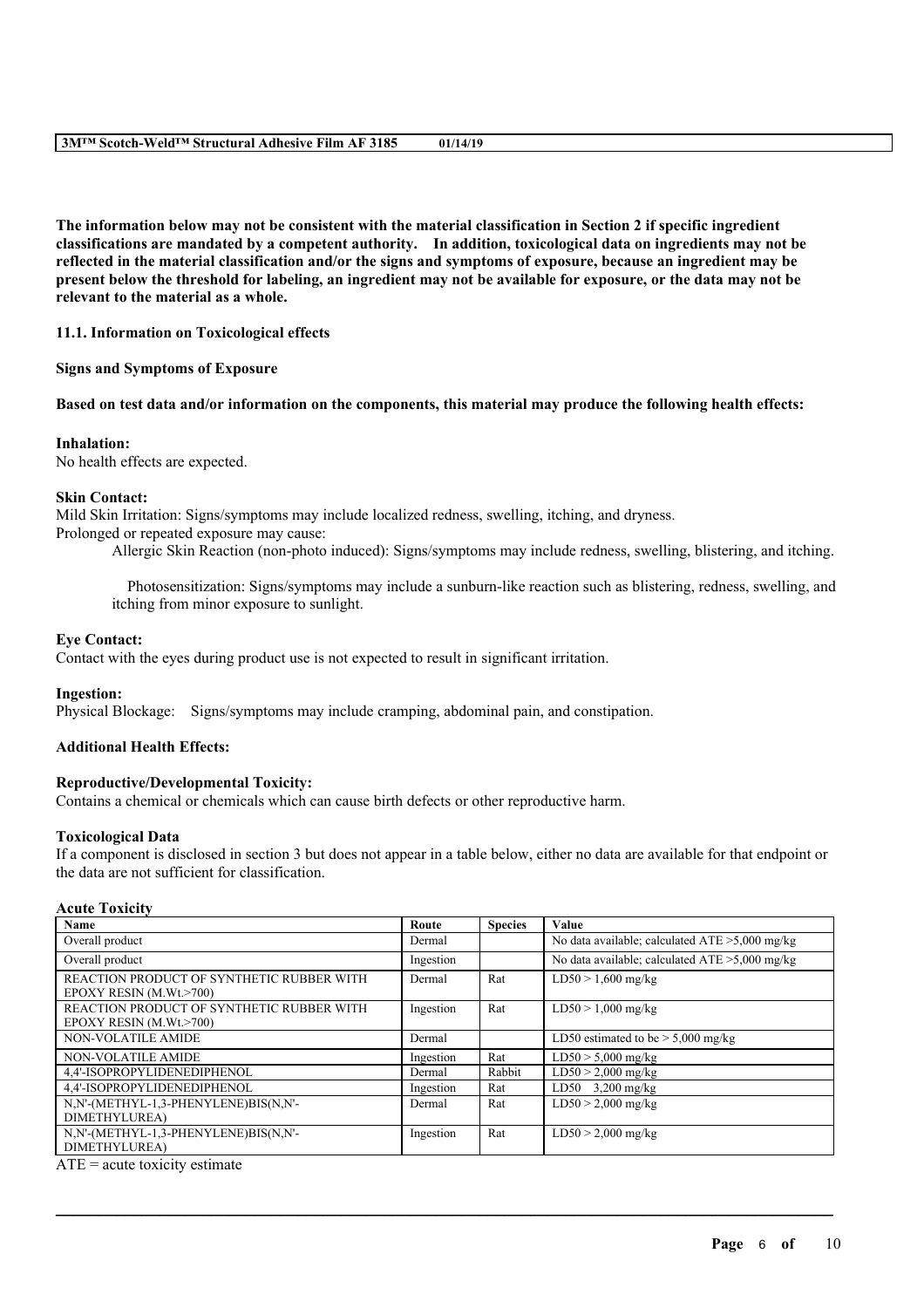The information below may not be consistent with the material classification in Section 2 if specific ingredient **classifications are mandated by a competent authority. In addition, toxicological data on ingredients may not be** reflected in the material classification and/or the signs and symptoms of exposure, because an ingredient may be present below the threshold for labeling, an ingredient may not be available for exposure, or the data may not be **relevant to the material as a whole.**

**11.1. Information on Toxicological effects**

**Signs and Symptoms of Exposure**

Based on test data and/or information on the components, this material may produce the following health effects:

### **Inhalation:**

No health effects are expected.

### **Skin Contact:**

Mild Skin Irritation: Signs/symptoms may include localized redness, swelling, itching, and dryness. Prolonged or repeated exposure may cause:

Allergic Skin Reaction (non-photo induced): Signs/symptoms may include redness, swelling, blistering, and itching.

Photosensitization: Signs/symptoms may include a sunburn-like reaction such as blistering, redness, swelling, and itching from minor exposure to sunlight.

### **Eye Contact:**

Contact with the eyes during product use is not expected to result in significant irritation.

#### **Ingestion:**

Physical Blockage: Signs/symptoms may include cramping, abdominal pain, and constipation.

### **Additional Health Effects:**

#### **Reproductive/Developmental Toxicity:**

Contains a chemical or chemicals which can cause birth defects or other reproductive harm.

#### **Toxicological Data**

If a component is disclosed in section 3 but does not appear in a table below, either no data are available for that endpoint or the data are not sufficient for classification.

### **Acute Toxicity**

| Name                                                                 | Route     | <b>Species</b> | Value                                             |
|----------------------------------------------------------------------|-----------|----------------|---------------------------------------------------|
| Overall product                                                      | Dermal    |                | No data available; calculated $ATE > 5,000$ mg/kg |
| Overall product                                                      | Ingestion |                | No data available; calculated $ATE > 5,000$ mg/kg |
| REACTION PRODUCT OF SYNTHETIC RUBBER WITH<br>EPOXY RESIN (M.Wt.>700) | Dermal    | Rat            | $LD50 > 1,600$ mg/kg                              |
| REACTION PRODUCT OF SYNTHETIC RUBBER WITH<br>EPOXY RESIN (M.Wt.>700) | Ingestion | Rat            | $LD50 > 1,000$ mg/kg                              |
| <b>NON-VOLATILE AMIDE</b>                                            | Dermal    |                | LD50 estimated to be $> 5,000$ mg/kg              |
| <b>NON-VOLATILE AMIDE</b>                                            | Ingestion | Rat            | $\overline{\text{LD}}$ 50 > 5,000 mg/kg           |
| 4,4'-ISOPROPYLIDENEDIPHENOL                                          | Dermal    | Rabbit         | $LD50 > 2,000$ mg/kg                              |
| 4.4'-ISOPROPYLIDENEDIPHENOL                                          | Ingestion | Rat            | LD50 $3,200$ mg/kg                                |
| N,N'-(METHYL-1,3-PHENYLENE)BIS(N,N'-                                 | Dermal    | Rat            | $LD50 > 2,000$ mg/kg                              |
| DIMETHYLUREA)                                                        |           |                |                                                   |
| N,N'-(METHYL-1,3-PHENYLENE)BIS(N,N'-                                 | Ingestion | Rat            | $LD50 > 2,000$ mg/kg                              |
| DIMETHYLUREA)                                                        |           |                |                                                   |

 $\mathcal{L}_\mathcal{L} = \mathcal{L}_\mathcal{L} = \mathcal{L}_\mathcal{L} = \mathcal{L}_\mathcal{L} = \mathcal{L}_\mathcal{L} = \mathcal{L}_\mathcal{L} = \mathcal{L}_\mathcal{L} = \mathcal{L}_\mathcal{L} = \mathcal{L}_\mathcal{L} = \mathcal{L}_\mathcal{L} = \mathcal{L}_\mathcal{L} = \mathcal{L}_\mathcal{L} = \mathcal{L}_\mathcal{L} = \mathcal{L}_\mathcal{L} = \mathcal{L}_\mathcal{L} = \mathcal{L}_\mathcal{L} = \mathcal{L}_\mathcal{L}$ 

 $ATE = acute$  toxicity estimate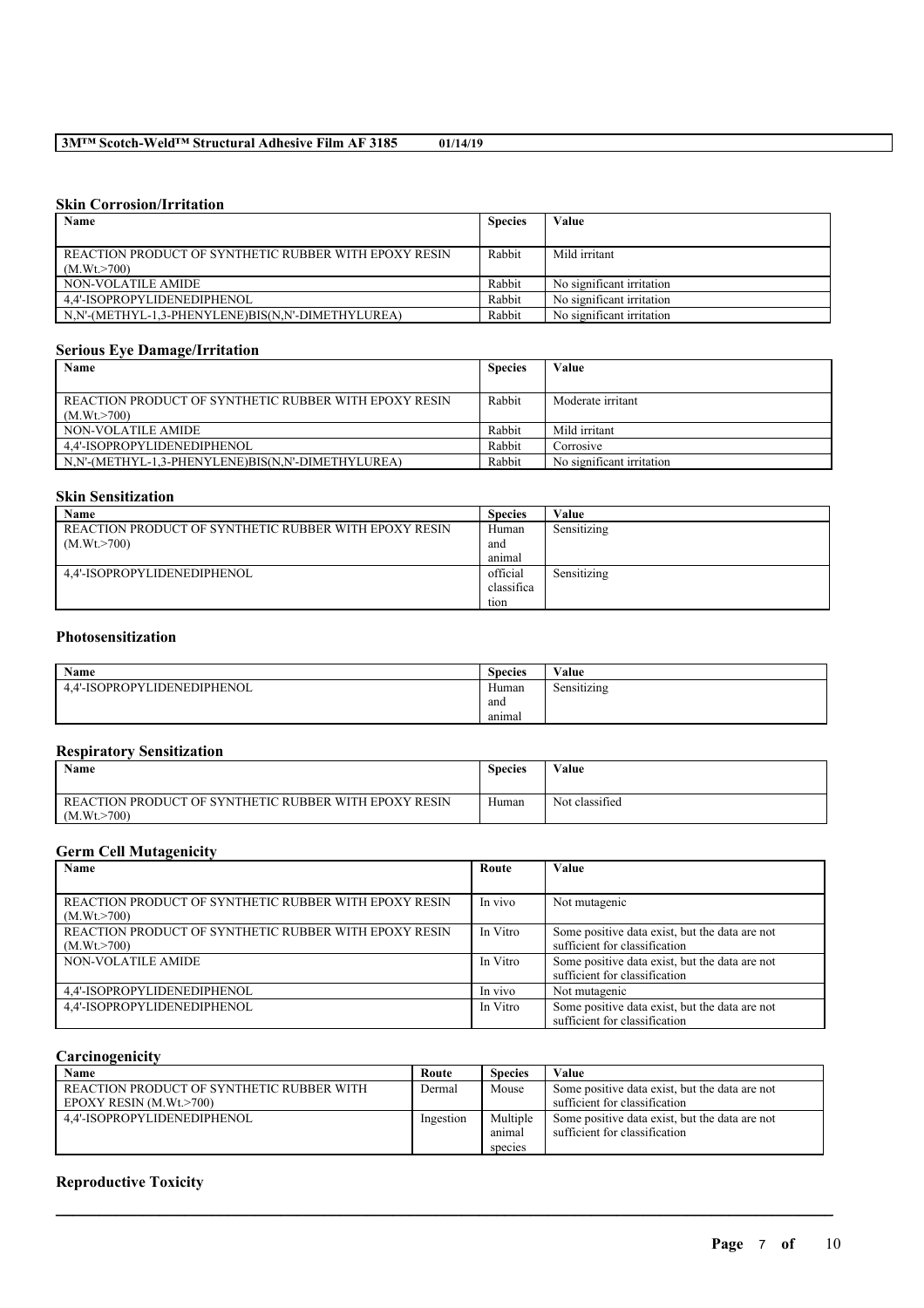### **Skin Corrosion/Irritation**

| Name                                                  | <b>Species</b> | Value                     |
|-------------------------------------------------------|----------------|---------------------------|
|                                                       |                |                           |
| REACTION PRODUCT OF SYNTHETIC RUBBER WITH EPOXY RESIN | Rabbit         | Mild irritant             |
| (M.Wt > 700)                                          |                |                           |
| NON-VOLATILE AMIDE                                    | Rabbit         | No significant irritation |
| 4.4'-ISOPROPYLIDENEDIPHENOL                           | Rabbit         | No significant irritation |
| N,N'-(METHYL-1,3-PHENYLENE)BIS(N,N'-DIMETHYLUREA)     | Rabbit         | No significant irritation |

### **Serious Eye Damage/Irritation**

| Name                                                  | <b>Species</b> | Value                     |
|-------------------------------------------------------|----------------|---------------------------|
|                                                       |                |                           |
| REACTION PRODUCT OF SYNTHETIC RUBBER WITH EPOXY RESIN | Rabbit         | Moderate irritant         |
| (M.Wt > 700)                                          |                |                           |
| NON-VOLATILE AMIDE                                    | Rabbit         | Mild irritant             |
| 4.4'-ISOPROPYLIDENEDIPHENOL                           | Rabbit         | Corrosive                 |
| N.N'-(METHYL-1.3-PHENYLENE)BIS(N.N'-DIMETHYLUREA)     | Rabbit         | No significant irritation |

### **Skin Sensitization**

| Name                                                  | <b>Species</b> | Value       |
|-------------------------------------------------------|----------------|-------------|
| REACTION PRODUCT OF SYNTHETIC RUBBER WITH EPOXY RESIN | Human          | Sensitizing |
| (M.Wt. > 700)                                         | and            |             |
|                                                       | animal         |             |
| 4.4'-ISOPROPYLIDENEDIPHENOL                           | official       | Sensitizing |
|                                                       | classifica     |             |
|                                                       | tion           |             |

## **Photosensitization**

| Name                        | $\sim$<br><b>Species</b> | Value       |
|-----------------------------|--------------------------|-------------|
| 4,4'-ISOPROPYLIDENEDIPHENOL | Human                    | Sensitizing |
|                             | and                      |             |
|                             | anımal                   |             |

### **Respiratory Sensitization**

| <b>Name</b>                                           | <b>Species</b> | Value          |
|-------------------------------------------------------|----------------|----------------|
| REACTION PRODUCT OF SYNTHETIC RUBBER WITH EPOXY RESIN | Human          | Not classified |
| (M.Wt. > 700)                                         |                |                |

### **Germ Cell Mutagenicity**

| Name                                                  | Route    | Value                                          |
|-------------------------------------------------------|----------|------------------------------------------------|
|                                                       |          |                                                |
| REACTION PRODUCT OF SYNTHETIC RUBBER WITH EPOXY RESIN | In vivo  | Not mutagenic                                  |
| (M.Wt. > 700)                                         |          |                                                |
| REACTION PRODUCT OF SYNTHETIC RUBBER WITH EPOXY RESIN | In Vitro | Some positive data exist, but the data are not |
| (M.Wt. > 700)                                         |          | sufficient for classification                  |
| NON-VOLATILE AMIDE                                    | In Vitro | Some positive data exist, but the data are not |
|                                                       |          | sufficient for classification                  |
| 4,4'-ISOPROPYLIDENEDIPHENOL                           | In vivo  | Not mutagenic                                  |
| 4,4'-ISOPROPYLIDENEDIPHENOL                           | In Vitro | Some positive data exist, but the data are not |
|                                                       |          | sufficient for classification                  |

### **Carcinogenicity**

| Name                                      | Route     | <b>Species</b> | Value                                          |
|-------------------------------------------|-----------|----------------|------------------------------------------------|
| REACTION PRODUCT OF SYNTHETIC RUBBER WITH | Dermal    | Mouse          | Some positive data exist, but the data are not |
| $E$ POXY RESIN (M.Wt. $>700$ )            |           |                | sufficient for classification                  |
| 4.4'-ISOPROPYLIDENEDIPHENOL               | Ingestion | Multiple       | Some positive data exist, but the data are not |
|                                           |           | anımal         | sufficient for classification                  |
|                                           |           | species        |                                                |

 $\mathcal{L}_\mathcal{L} = \mathcal{L}_\mathcal{L} = \mathcal{L}_\mathcal{L} = \mathcal{L}_\mathcal{L} = \mathcal{L}_\mathcal{L} = \mathcal{L}_\mathcal{L} = \mathcal{L}_\mathcal{L} = \mathcal{L}_\mathcal{L} = \mathcal{L}_\mathcal{L} = \mathcal{L}_\mathcal{L} = \mathcal{L}_\mathcal{L} = \mathcal{L}_\mathcal{L} = \mathcal{L}_\mathcal{L} = \mathcal{L}_\mathcal{L} = \mathcal{L}_\mathcal{L} = \mathcal{L}_\mathcal{L} = \mathcal{L}_\mathcal{L}$ 

### **Reproductive Toxicity**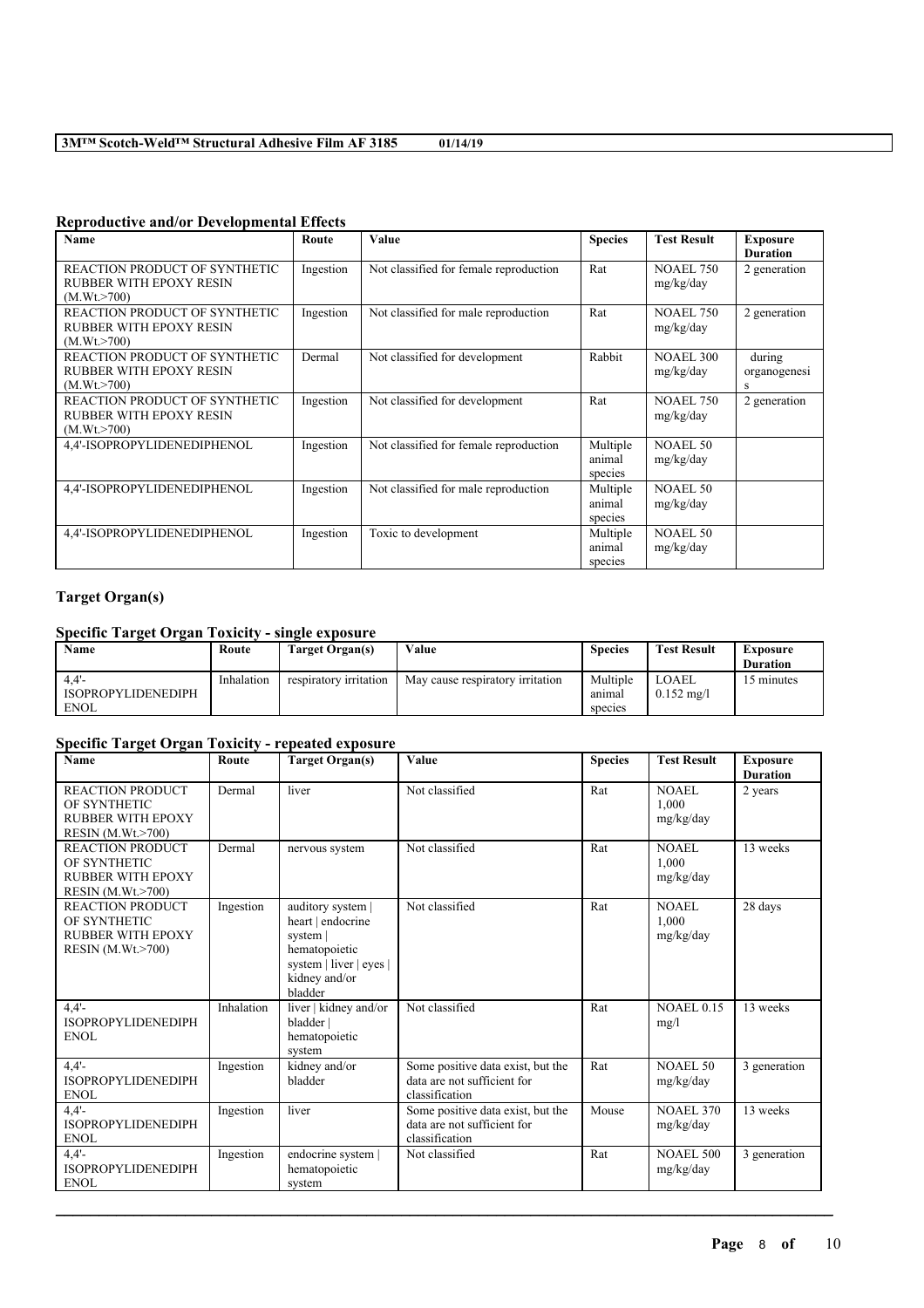| Name                                                                             | Route     | <b>Value</b>                           | <b>Species</b>                | <b>Test Result</b>            | <b>Exposure</b><br><b>Duration</b> |
|----------------------------------------------------------------------------------|-----------|----------------------------------------|-------------------------------|-------------------------------|------------------------------------|
| REACTION PRODUCT OF SYNTHETIC<br><b>RUBBER WITH EPOXY RESIN</b><br>(M.Wt. > 700) | Ingestion | Not classified for female reproduction | Rat                           | <b>NOAEL 750</b><br>mg/kg/day | 2 generation                       |
| REACTION PRODUCT OF SYNTHETIC<br><b>RUBBER WITH EPOXY RESIN</b><br>(M.Wt. > 700) | Ingestion | Not classified for male reproduction   | Rat                           | <b>NOAEL 750</b><br>mg/kg/day | 2 generation                       |
| REACTION PRODUCT OF SYNTHETIC<br><b>RUBBER WITH EPOXY RESIN</b><br>(M.Wt. > 700) | Dermal    | Not classified for development         | Rabbit                        | <b>NOAEL 300</b><br>mg/kg/day | during<br>organogenesi<br>s        |
| REACTION PRODUCT OF SYNTHETIC<br><b>RUBBER WITH EPOXY RESIN</b><br>(M.Wt. > 700) | Ingestion | Not classified for development         | Rat                           | <b>NOAEL 750</b><br>mg/kg/day | 2 generation                       |
| 4,4'-ISOPROPYLIDENEDIPHENOL                                                      | Ingestion | Not classified for female reproduction | Multiple<br>animal<br>species | <b>NOAEL 50</b><br>mg/kg/day  |                                    |
| 4,4'-ISOPROPYLIDENEDIPHENOL                                                      | Ingestion | Not classified for male reproduction   | Multiple<br>animal<br>species | <b>NOAEL 50</b><br>mg/kg/day  |                                    |
| 4,4'-ISOPROPYLIDENEDIPHENOL                                                      | Ingestion | Toxic to development                   | Multiple<br>animal<br>species | <b>NOAEL 50</b><br>mg/kg/day  |                                    |

### **Reproductive and/or Developmental Effects**

## **Target Organ(s)**

### **Specific Target Organ Toxicity - single exposure**

| Name                      | Route      | Target Organ(s)        | Value                            | <b>Species</b> | <b>Test Result</b>    | Exposure        |
|---------------------------|------------|------------------------|----------------------------------|----------------|-----------------------|-----------------|
|                           |            |                        |                                  |                |                       | <b>Duration</b> |
| 4.4'                      | Inhalation | respiratory irritation | May cause respiratory irritation | Multiple       | LOAEL                 | minutes         |
| <b>ISOPROPYLIDENEDIPH</b> |            |                        |                                  | anımal         | $0.152 \text{ m}$ g/l |                 |
| <b>ENOL</b>               |            |                        |                                  | species        |                       |                 |

## **Specific Target Organ Toxicity - repeated exposure**

| <b>Name</b>                                                                                        | Route      | <b>Target Organ(s)</b>                                                                                                     | Value                                                                              | <b>Species</b> | <b>Test Result</b>                 | <b>Exposure</b><br><b>Duration</b> |
|----------------------------------------------------------------------------------------------------|------------|----------------------------------------------------------------------------------------------------------------------------|------------------------------------------------------------------------------------|----------------|------------------------------------|------------------------------------|
| <b>REACTION PRODUCT</b><br>OF SYNTHETIC<br><b>RUBBER WITH EPOXY</b><br><b>RESIN (M.Wt.&gt;700)</b> | Dermal     | liver                                                                                                                      | Not classified                                                                     | Rat            | NOAEL<br>1.000<br>mg/kg/day        | 2 years                            |
| <b>REACTION PRODUCT</b><br>OF SYNTHETIC<br><b>RUBBER WITH EPOXY</b><br><b>RESIN</b> (M.Wt.>700)    | Dermal     | nervous system                                                                                                             | Not classified                                                                     | Rat            | <b>NOAEL</b><br>1.000<br>mg/kg/day | 13 weeks                           |
| <b>REACTION PRODUCT</b><br>OF SYNTHETIC<br>RUBBER WITH EPOXY<br><b>RESIN (M.Wt.&gt;700)</b>        | Ingestion  | auditory system  <br>heart   endocrine<br>system  <br>hematopoietic<br>system   liver   eyes  <br>kidney and/or<br>bladder | Not classified                                                                     | Rat            | NOAEL<br>1.000<br>mg/kg/day        | 28 days                            |
| 4.4'<br><b>ISOPROPYLIDENEDIPH</b><br><b>ENOL</b>                                                   | Inhalation | liver   kidney and/or<br>bladder  <br>hematopoietic<br>system                                                              | Not classified                                                                     | Rat            | <b>NOAEL 0.15</b><br>mg/l          | 13 weeks                           |
| 4.4'<br><b>ISOPROPYLIDENEDIPH</b><br><b>ENOL</b>                                                   | Ingestion  | kidney and/or<br>bladder                                                                                                   | Some positive data exist, but the<br>data are not sufficient for<br>classification | Rat            | NOAEL 50<br>mg/kg/day              | 3 generation                       |
| 4.4'<br><b>ISOPROPYLIDENEDIPH</b><br><b>ENOL</b>                                                   | Ingestion  | liver                                                                                                                      | Some positive data exist, but the<br>data are not sufficient for<br>classification | Mouse          | <b>NOAEL 370</b><br>mg/kg/day      | 13 weeks                           |
| 4.4'<br><b>ISOPROPYLIDENEDIPH</b><br><b>ENOL</b>                                                   | Ingestion  | endocrine system  <br>hematopoietic<br>system                                                                              | Not classified                                                                     | Rat            | <b>NOAEL 500</b><br>mg/kg/day      | 3 generation                       |

 $\mathcal{L}_\mathcal{L} = \mathcal{L}_\mathcal{L} = \mathcal{L}_\mathcal{L} = \mathcal{L}_\mathcal{L} = \mathcal{L}_\mathcal{L} = \mathcal{L}_\mathcal{L} = \mathcal{L}_\mathcal{L} = \mathcal{L}_\mathcal{L} = \mathcal{L}_\mathcal{L} = \mathcal{L}_\mathcal{L} = \mathcal{L}_\mathcal{L} = \mathcal{L}_\mathcal{L} = \mathcal{L}_\mathcal{L} = \mathcal{L}_\mathcal{L} = \mathcal{L}_\mathcal{L} = \mathcal{L}_\mathcal{L} = \mathcal{L}_\mathcal{L}$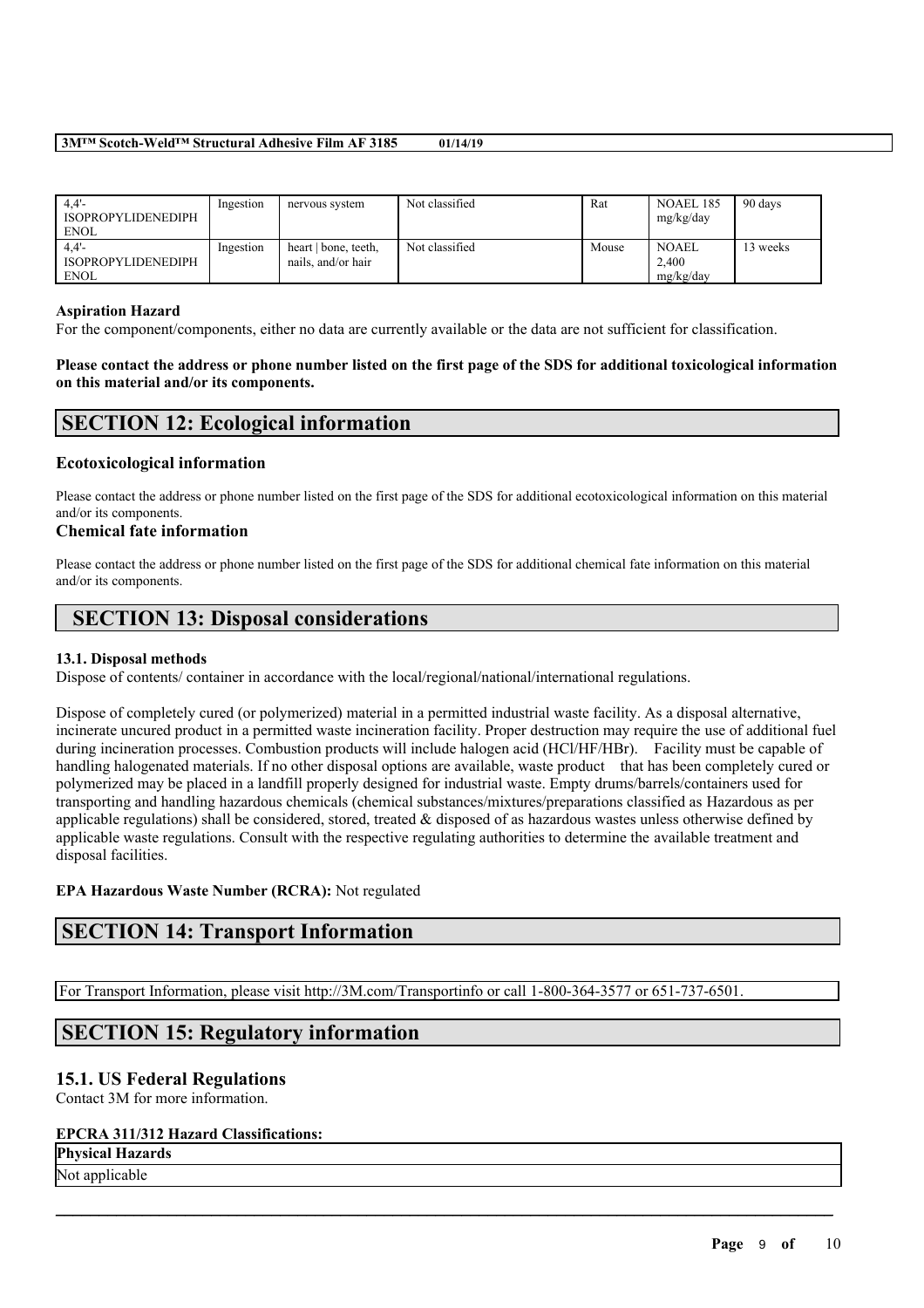| 4.4'<br><b>ISOPROPYLIDENEDIPH</b><br><b>ENOL</b> | Ingestion | nervous system                             | Not classified | Rat   | NOAEL 185<br>mg/kg/day             | 90 days |
|--------------------------------------------------|-----------|--------------------------------------------|----------------|-------|------------------------------------|---------|
| 4.4'<br><b>ISOPROPYLIDENEDIPH</b><br><b>ENOL</b> | Ingestion | heart   bone, teeth,<br>nails, and/or hair | Not classified | Mouse | <b>NOAEL</b><br>2.400<br>mg/kg/day | 3 weeks |

#### **Aspiration Hazard**

For the component/components, either no data are currently available or the data are not sufficient for classification.

Please contact the address or phone number listed on the first page of the SDS for additional toxicological information **on this material and/or its components.**

## **SECTION 12: Ecological information**

### **Ecotoxicological information**

Please contact the address or phone number listed on the first page of the SDS for additional ecotoxicological information on this material and/or its components.

### **Chemical fate information**

Please contact the address or phone number listed on the first page of the SDS for additional chemical fate information on this material and/or its components.

# **SECTION 13: Disposal considerations**

### **13.1. Disposal methods**

Dispose of contents/ container in accordance with the local/regional/national/international regulations.

Dispose of completely cured (or polymerized) material in a permitted industrial waste facility. As a disposal alternative, incinerate uncured product in a permitted waste incineration facility. Proper destruction may require the use of additional fuel during incineration processes. Combustion products will include halogen acid (HCl/HF/HBr). Facility must be capable of handling halogenated materials. If no other disposal options are available, waste product that has been completely cured or polymerized may be placed in a landfill properly designed for industrial waste. Empty drums/barrels/containers used for transporting and handling hazardous chemicals (chemical substances/mixtures/preparations classified as Hazardous as per applicable regulations) shall be considered, stored, treated & disposed of as hazardous wastes unless otherwise defined by applicable waste regulations. Consult with the respective regulating authorities to determine the available treatment and disposal facilities.

 $\mathcal{L}_\mathcal{L} = \mathcal{L}_\mathcal{L} = \mathcal{L}_\mathcal{L} = \mathcal{L}_\mathcal{L} = \mathcal{L}_\mathcal{L} = \mathcal{L}_\mathcal{L} = \mathcal{L}_\mathcal{L} = \mathcal{L}_\mathcal{L} = \mathcal{L}_\mathcal{L} = \mathcal{L}_\mathcal{L} = \mathcal{L}_\mathcal{L} = \mathcal{L}_\mathcal{L} = \mathcal{L}_\mathcal{L} = \mathcal{L}_\mathcal{L} = \mathcal{L}_\mathcal{L} = \mathcal{L}_\mathcal{L} = \mathcal{L}_\mathcal{L}$ 

### **EPA Hazardous Waste Number (RCRA):** Not regulated

## **SECTION 14: Transport Information**

For Transport Information, please visit http://3M.com/Transportinfo or call 1-800-364-3577 or 651-737-6501.

## **SECTION 15: Regulatory information**

### **15.1. US Federal Regulations**

Contact 3M for more information.

### **EPCRA 311/312 Hazard Classifications:**

**Physical Hazards**

Not applicable